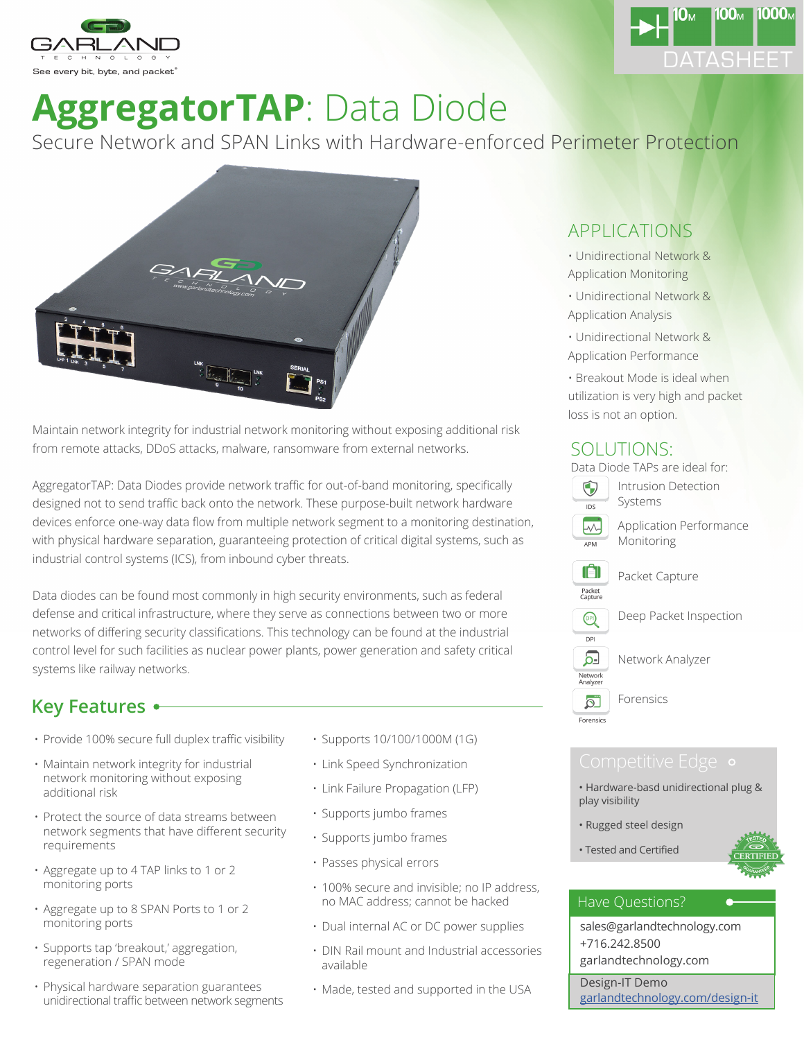



# **AggregatorTAP**: Data Diode

Secure Network and SPAN Links with Hardware-enforced Perimeter Protection



Maintain network integrity for industrial network monitoring without exposing additional risk from remote attacks, DDoS attacks, malware, ransomware from external networks.

AggregatorTAP: Data Diodes provide network traffic for out-of-band monitoring, specifically designed not to send traffic back onto the network. These purpose-built network hardware devices enforce one-way data flow from multiple network segment to a monitoring destination, with physical hardware separation, guaranteeing protection of critical digital systems, such as industrial control systems (ICS), from inbound cyber threats.

Data diodes can be found most commonly in high security environments, such as federal defense and critical infrastructure, where they serve as connections between two or more networks of differing security classifications. This technology can be found at the industrial control level for such facilities as nuclear power plants, power generation and safety critical systems like railway networks.

## **Key Features**

- Provide 100% secure full duplex traffic visibility
- Maintain network integrity for industrial network monitoring without exposing additional risk
- Protect the source of data streams between network segments that have different security requirements
- Aggregate up to 4 TAP links to 1 or 2 monitoring ports
- Aggregate up to 8 SPAN Ports to 1 or 2 monitoring ports
- Supports tap 'breakout,' aggregation, regeneration / SPAN mode
- Physical hardware separation guarantees unidirectional traffic between network segments
- Supports 10/100/1000M (1G)
- Link Speed Synchronization
- Link Failure Propagation (LFP)
- Supports jumbo frames
- Supports jumbo frames
- Passes physical errors
- 100% secure and invisible; no IP address, no MAC address; cannot be hacked
- Dual internal AC or DC power supplies
- DIN Rail mount and Industrial accessories available
- Made, tested and supported in the USA

### APPLICATIONS

- Unidirectional Network & Application Monitoring
- Unidirectional Network & Application Analysis
- Unidirectional Network & Application Performance
- Breakout Mode is ideal when utilization is very high and packet loss is not an option.

### SOLUTIONS:

Data Diode TAPs are ideal for:



**APM** 

Intrusion Detection Systems

Application Performance Monitoring



Deep Packet Inspection



 $\overline{\circ}$ Forensics Network Analyzer

Forensics

- Hardware-basd unidirectional plug & play visibility
- Rugged steel design
- Tested and Certified



### Have Questions?

sales@garlandtechnology.com +716.242.8500 garlandtechnology.com

Design-IT Demo garlandtechnology.com/design-it